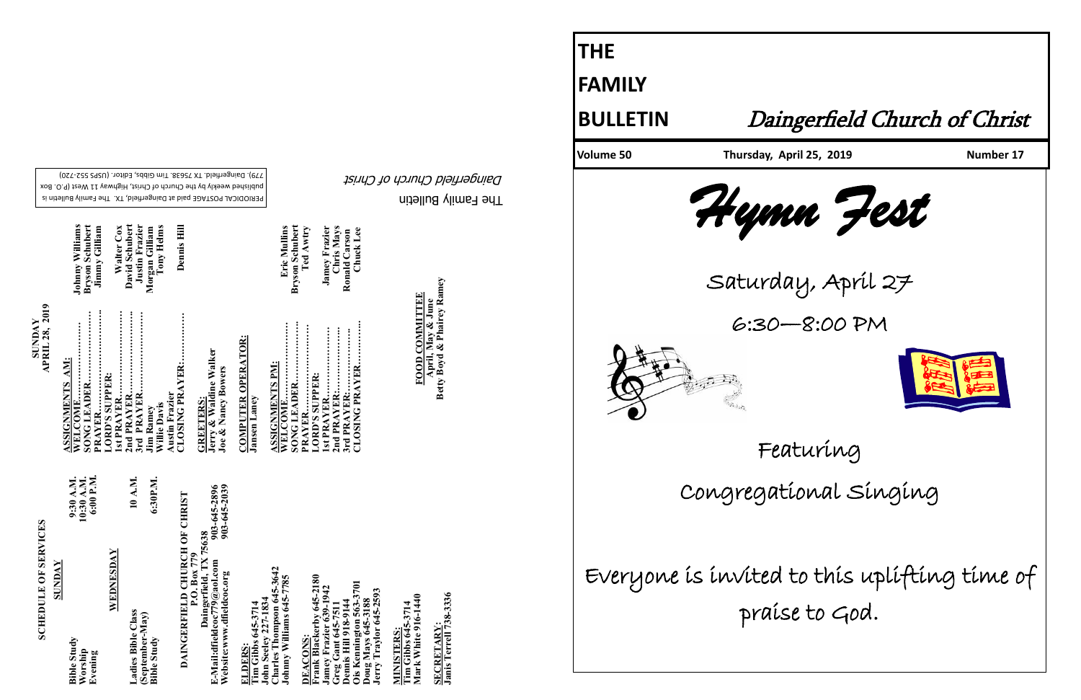The Family Bulletin Daingerfield Church of Christ

PERIODICAL POSTAGE paid at Daingerfield, TX. The Family Bulletin is published weekly by the Church of Christ, Highway 11 West (P.O. Box 720) - 779). Daingerfield. TX 75638. Tim Gibbs, Editor. (USPS 552

Dennis Hil

Walter Cox<br>David Schubert<br>Justin Frazier<br>Morgan Gilliam<br>Tony Helms

| ١<br>ļ       |
|--------------|
| ŗ<br>しょく     |
| ים<br>ה      |
| r<br>F<br>Î, |
| ľ            |
|              |

| 6:30P.M.<br>(September-May)<br>Bible Study |
|--------------------------------------------|
|--------------------------------------------|

903-645-2896<br>903-645-2039 **Website:www.dfieldcoc.org 903-645-2039 E-Mail:dfieldcoc779@aol.com 903-645-2896 DAINGERFIELD CHURCH OF CHRIST<br>P.O. Box 779<br>Daingerfield, TX 75638 DAINGERFIELD CHURCH OF CHRIST Daingerfield, TX 75638** E-Mail:dfieldcoc779@aol.com<br>Website:www.dfieldcoc.org

MINISTERS:<br>Tim Gibbs 645-3714<br>Mark White 916-1440 **Mark White 916-1440 Tim Gibbs 645-3714 MINISTERS:**

<u>SECRETARY:</u><br>Janis Terrell 738-3336 **Janis Terrell 738-3336 SECRETARY:**

**SUNDAY**<br>**APRIL 28, 2019 APRIL 28, 2019** 

**Johnny Williams<br>Bryson Schubert<br>Jimmy Gilliam WELCOME…………………… Johnny Williams SONG LEADER…………………. Bryson Schubert 2nd PRAYER…………………….. David Schubert 3rd PRAYER……………………. Justin Frazier CLOSING PRAYER:…………… Dennis Hill Willie Davis Tony Helms PRAYER………………………….. Jimmy Gilliam 1st PRAYER……………………… Walter Cox Jim Ramey**<br>William<br>William Austin Frazier<br>CLOSING PRAYER:... **ASSIGNMENTS AM: LORD'S SUPPER:**  ..............<br>SUPPER NL.......<br>EADER. PRAYER..<br>PRAYER.. **Austin Frazier Villie Davis** m Rame

**ELDERS: Tim Gibbs 645-3714** 

**Charles Thompson 645-3642 Johnny Williams 645-7785**  John Seeley 227-1834<br>Charles Thompson 645-<br>Johnny Williams 645-77  $645$ **John Seeley 227-1834** 

terby 645-2180<br>ier 639-1942 **Frank Blackerby 645-2180**  3701 **Ois Kennington 563-3701 Jamey Frazier 639-1942 oug Mays 645-3188**<br>erry Traylor 645-2593 **Jerry Traylor 645-2593 Greg Gant 645-7511 Doug Mays 645-3188 Dennis Hill 918-9144 DEACONS:**  reg Gant (<br>ennis Hill DEACONS

**GREETERS:**<br>Jerry & Waldine Walker<br>Joe & Nancy Bowers **Jerry & Waldine Walker Joe & Nancy Bowers GREETERS:** 

**COMPUTER OPERATOR: COMPUTER OPERATOR:**

**Jansen Laney Jansen Laney** 

**WELCOME…………………… Eric Mullins SONG LEADER………………. Bryson Schubert PRAYER……………………… Ted Awtry 1st PRAYER…………………. Jamey Frazier 2nd PRAYER:……………….. Chris Mays CLOSING PRAYER………….. Chuck Lee 3rd PRAYER:……………….. Ronald Carson ASSIGNMENTS PM: GPRAYER NNIENTS PM** supper: MER...<br>MER... **LORD'S SUPPER: ASSICI**<br>WELC CLOSI

Eric Mullins<br>Bryson Schubert<br>Ted Awtry **Jamey Frazier**<br>Chris Mays<br>Ronald Carson<br>Chuck Lee

**FOOD COMMITTEE April, May & June Betty Boyd & Phairey Ramey**

**FOOD COMMITTEE**<br>April, May & June<br>Betty Boyd & Phairey Ramey

**THE**

**FAMILY**

Volume 50 Thursday, April 25, 2019 Number 17

# **BULLETIN** Daingerfield Church of Christ





Saturday, April 27 6:30—8:00 PM



Featuring

Congregational Singing

Everyone is invited to this uplifting time of praise to God.